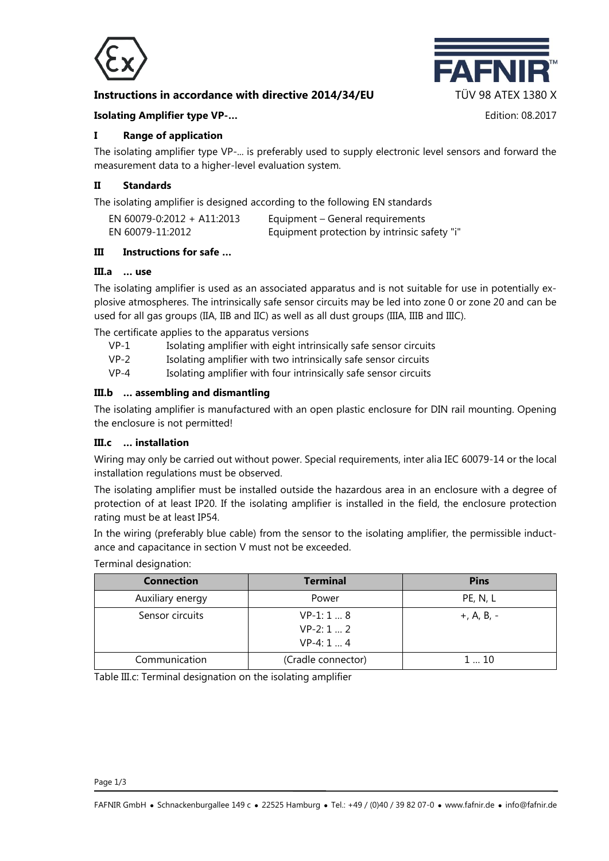

## **Instructions in accordance with directive 2014/34/EU TÜV 98 ATEX 1380 X**



#### **Isolating Amplifier type VP-…** Edition: 08.2017

### **I Range of application**

The isolating amplifier type VP-... is preferably used to supply electronic level sensors and forward the measurement data to a higher-level evaluation system.

### **II Standards**

The isolating amplifier is designed according to the following EN standards

| EN 60079-0:2012 + A11:2013 | Equipment – General requirements             |
|----------------------------|----------------------------------------------|
| EN 60079-11:2012           | Equipment protection by intrinsic safety "i" |

#### **III Instructions for safe …**

#### **III.a … use**

The isolating amplifier is used as an associated apparatus and is not suitable for use in potentially explosive atmospheres. The intrinsically safe sensor circuits may be led into zone 0 or zone 20 and can be used for all gas groups (IIA, IIB and IIC) as well as all dust groups (IIIA, IIIB and IIIC).

The certificate applies to the apparatus versions

- VP-1 Isolating amplifier with eight intrinsically safe sensor circuits
- VP-2 Isolating amplifier with two intrinsically safe sensor circuits
- VP-4 Isolating amplifier with four intrinsically safe sensor circuits

#### **III.b … assembling and dismantling**

The isolating amplifier is manufactured with an open plastic enclosure for DIN rail mounting. Opening the enclosure is not permitted!

### **III.c … installation**

Wiring may only be carried out without power. Special requirements, inter alia IEC 60079-14 or the local installation regulations must be observed.

The isolating amplifier must be installed outside the hazardous area in an enclosure with a degree of protection of at least IP20. If the isolating amplifier is installed in the field, the enclosure protection rating must be at least IP54.

In the wiring (preferably blue cable) from the sensor to the isolating amplifier, the permissible inductance and capacitance in section V must not be exceeded.

| ichtimat acorgriation: |                                              |              |  |  |
|------------------------|----------------------------------------------|--------------|--|--|
| <b>Connection</b>      | <b>Terminal</b>                              | <b>Pins</b>  |  |  |
| Auxiliary energy       | Power                                        | PE, N, L     |  |  |
| Sensor circuits        | $VP-1: 1  8$<br>$VP-2: 1  2$<br>$VP-4: 1  4$ | $+, A, B, -$ |  |  |
| Communication          | (Cradle connector)                           | 110          |  |  |

Terminal designation:

Table III.c: Terminal designation on the isolating amplifier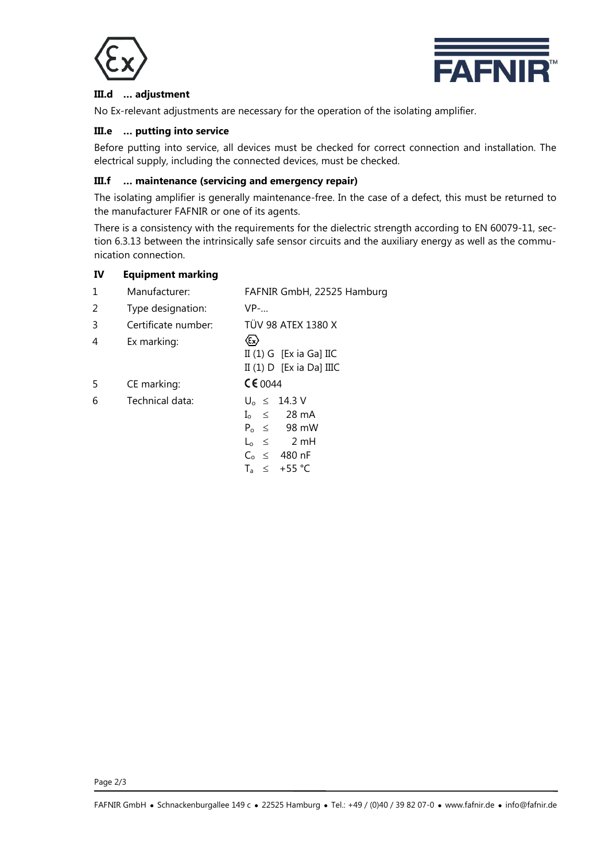



## **III.d … adjustment**

No Ex-relevant adjustments are necessary for the operation of the isolating amplifier.

### **III.e … putting into service**

Before putting into service, all devices must be checked for correct connection and installation. The electrical supply, including the connected devices, must be checked.

## **III.f … maintenance (servicing and emergency repair)**

The isolating amplifier is generally maintenance-free. In the case of a defect, this must be returned to the manufacturer FAFNIR or one of its agents.

There is a consistency with the requirements for the dielectric strength according to EN 60079-11, section 6.3.13 between the intrinsically safe sensor circuits and the auxiliary energy as well as the communication connection.

### **IV Equipment marking**

| 1 | Manufacturer:       | FAFNIR GmbH, 22525 Hamburg                                                                                                                 |
|---|---------------------|--------------------------------------------------------------------------------------------------------------------------------------------|
| 2 | Type designation:   | $VP$ -                                                                                                                                     |
| 3 | Certificate number: | TÜV 98 ATEX 1380 X                                                                                                                         |
| 4 | Ex marking:         | $\langle \epsilon_{\rm x} \rangle$<br>II $(1)$ G [Ex ia Ga] IIC<br>II $(1)$ D [Ex ia Da] IIIC                                              |
| 5 | CE marking:         | CE0044                                                                                                                                     |
| 6 | Technical data:     | $U_0 \leq 14.3 V$<br>$I_0 \leq 28 \text{ mA}$<br>$P_0 \leq 98 \text{ mW}$<br>$L_0 \leq 2mH$<br>$C_0 \leq 480$ nF<br>$+55 °C$<br>$T_a \leq$ |

Page 2/3